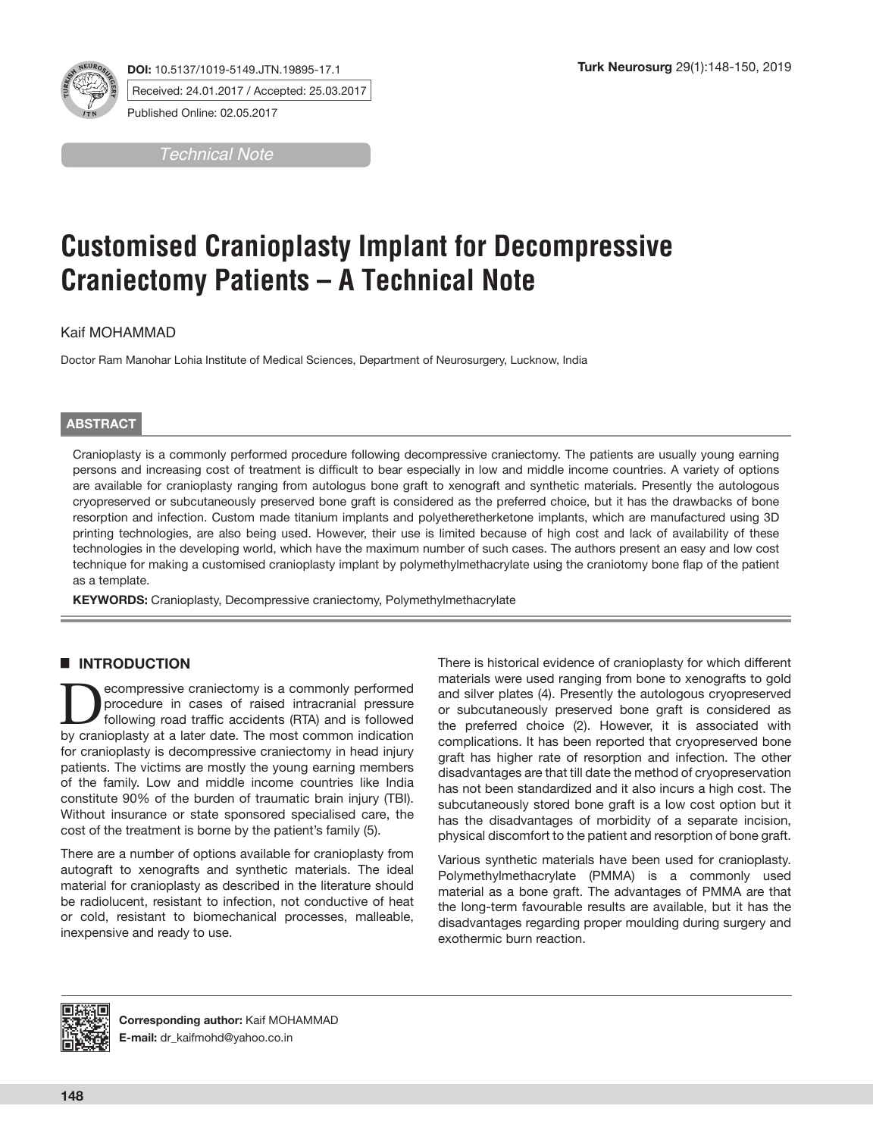

**DOI:** 10.5137/1019-5149.JTN.19895-17.1 Received: 24.01.2017 / Accepted: 25.03.2017

Published Online: 02.05.2017

*Technical Note*

# **Customised Cranioplasty Implant for Decompressive Craniectomy Patients – A Technical Note**

Kaif MOHAMMAD

Doctor Ram Manohar Lohia Institute of Medical Sciences, Department of Neurosurgery, Lucknow, India

# **ABSTRACT**

Cranioplasty is a commonly performed procedure following decompressive craniectomy. The patients are usually young earning persons and increasing cost of treatment is difficult to bear especially in low and middle income countries. A variety of options are available for cranioplasty ranging from autologus bone graft to xenograft and synthetic materials. Presently the autologous cryopreserved or subcutaneously preserved bone graft is considered as the preferred choice, but it has the drawbacks of bone resorption and infection. Custom made titanium implants and polyetheretherketone implants, which are manufactured using 3D printing technologies, are also being used. However, their use is limited because of high cost and lack of availability of these technologies in the developing world, which have the maximum number of such cases. The authors present an easy and low cost technique for making a customised cranioplasty implant by polymethylmethacrylate using the craniotomy bone flap of the patient as a template.

**KEYWORDS:** Cranioplasty, Decompressive craniectomy, Polymethylmethacrylate

# █ **INTRODUCTION**

**Decompressive craniectomy is a commonly performed**<br>
following road traffic accidents (RTA) and is followed<br>
by cranionlasty at a later date. The most common indication procedure in cases of raised intracranial pressure by cranioplasty at a later date. The most common indication for cranioplasty is decompressive craniectomy in head injury patients. The victims are mostly the young earning members of the family. Low and middle income countries like India constitute 90% of the burden of traumatic brain injury (TBI). Without insurance or state sponsored specialised care, the cost of the treatment is borne by the patient's family (5).

There are a number of options available for cranioplasty from autograft to xenografts and synthetic materials. The ideal material for cranioplasty as described in the literature should be radiolucent, resistant to infection, not conductive of heat or cold, resistant to biomechanical processes, malleable, inexpensive and ready to use.

There is historical evidence of cranioplasty for which different materials were used ranging from bone to xenografts to gold and silver plates (4). Presently the autologous cryopreserved or subcutaneously preserved bone graft is considered as the preferred choice (2). However, it is associated with complications. It has been reported that cryopreserved bone graft has higher rate of resorption and infection. The other disadvantages are that till date the method of cryopreservation has not been standardized and it also incurs a high cost. The subcutaneously stored bone graft is a low cost option but it has the disadvantages of morbidity of a separate incision, physical discomfort to the patient and resorption of bone graft.

Various synthetic materials have been used for cranioplasty. Polymethylmethacrylate (PMMA) is a commonly used material as a bone graft. The advantages of PMMA are that the long-term favourable results are available, but it has the disadvantages regarding proper moulding during surgery and exothermic burn reaction.



**Corresponding author:** Kaif MOHAMMAD **E-mail:** dr\_kaifmohd@yahoo.co.in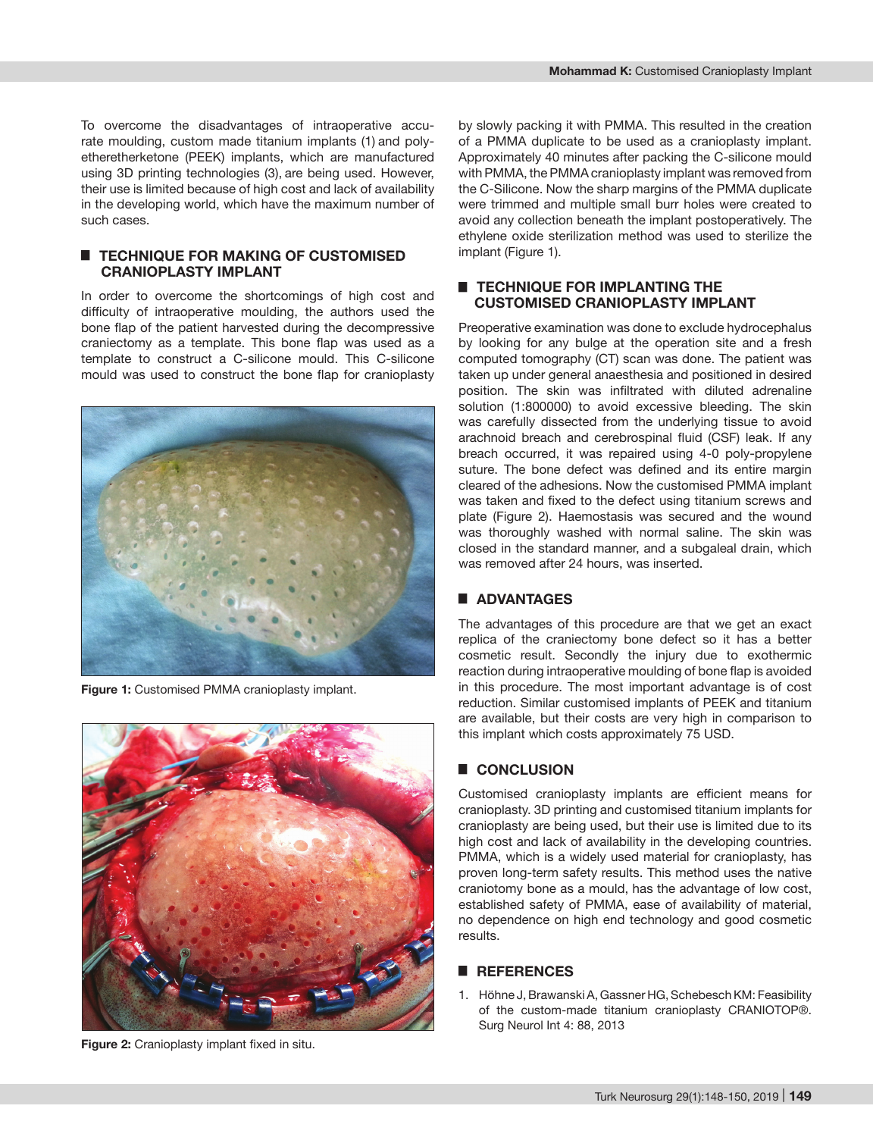To overcome the disadvantages of intraoperative accurate moulding, custom made titanium implants (1) and polyetheretherketone (PEEK) implants, which are manufactured using 3D printing technologies (3), are being used. However, their use is limited because of high cost and lack of availability in the developing world, which have the maximum number of such cases.

## █ **TECHNIQUE FOR MAKING OF CUSTOMISED CRANIOPLASTY IMPLANT**

In order to overcome the shortcomings of high cost and difficulty of intraoperative moulding, the authors used the bone flap of the patient harvested during the decompressive craniectomy as a template. This bone flap was used as a template to construct a C-silicone mould. This C-silicone mould was used to construct the bone flap for cranioplasty



**Figure 1:** Customised PMMA cranioplasty implant.



**Figure 2:** Cranioplasty implant fixed in situ.

by slowly packing it with PMMA. This resulted in the creation of a PMMA duplicate to be used as a cranioplasty implant. Approximately 40 minutes after packing the C-silicone mould with PMMA, the PMMA cranioplasty implant was removed from the C-Silicone. Now the sharp margins of the PMMA duplicate were trimmed and multiple small burr holes were created to avoid any collection beneath the implant postoperatively. The ethylene oxide sterilization method was used to sterilize the implant (Figure 1).

#### █ **TECHNIQUE FOR IMPLANTING THE CUSTOMISED CRANIOPLASTY IMPLANT**

Preoperative examination was done to exclude hydrocephalus by looking for any bulge at the operation site and a fresh computed tomography (CT) scan was done. The patient was taken up under general anaesthesia and positioned in desired position. The skin was infiltrated with diluted adrenaline solution (1:800000) to avoid excessive bleeding. The skin was carefully dissected from the underlying tissue to avoid arachnoid breach and cerebrospinal fluid (CSF) leak. If any breach occurred, it was repaired using 4-0 poly-propylene suture. The bone defect was defined and its entire margin cleared of the adhesions. Now the customised PMMA implant was taken and fixed to the defect using titanium screws and plate (Figure 2). Haemostasis was secured and the wound was thoroughly washed with normal saline. The skin was closed in the standard manner, and a subgaleal drain, which was removed after 24 hours, was inserted.

# █ **ADVANTAGES**

The advantages of this procedure are that we get an exact replica of the craniectomy bone defect so it has a better cosmetic result. Secondly the injury due to exothermic reaction during intraoperative moulding of bone flap is avoided in this procedure. The most important advantage is of cost reduction. Similar customised implants of PEEK and titanium are available, but their costs are very high in comparison to this implant which costs approximately 75 USD.

# █ **CONCLUSION**

Customised cranioplasty implants are efficient means for cranioplasty. 3D printing and customised titanium implants for cranioplasty are being used, but their use is limited due to its high cost and lack of availability in the developing countries. PMMA, which is a widely used material for cranioplasty, has proven long-term safety results. This method uses the native craniotomy bone as a mould, has the advantage of low cost, established safety of PMMA, ease of availability of material, no dependence on high end technology and good cosmetic results.

## █ **REFERENCES**

1. Höhne J, Brawanski A, Gassner HG, Schebesch KM: Feasibility of the custom-made titanium cranioplasty CRANIOTOP®. Surg Neurol Int 4: 88, 2013